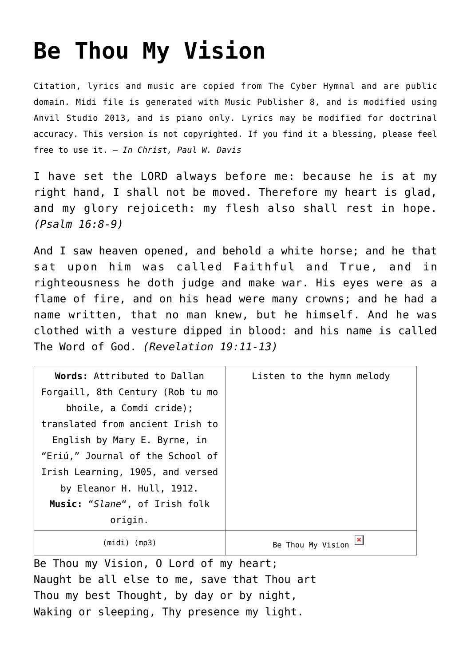## **[Be Thou My Vision](http://reproachofmen.org/hymns-and-music/be-thou-my-vision/)**

Citation, lyrics and music are copied from [The Cyber Hymnal](http://www.hymntime.com/tch/) and are public domain. Midi file is generated with [Music Publisher 8](http://www.braeburn.co.uk/mp.htm), and is modified using [Anvil Studio 2013](http://www.anvilstudio.com/), and is piano only. Lyrics may be modified for doctrinal accuracy. This version is not copyrighted. If you find it a blessing, please feel free to use it. — *In Christ, Paul W. Davis*

I have set the LORD always before me: because he is at my right hand, I shall not be moved. Therefore my heart is glad, and my glory rejoiceth: my flesh also shall rest in hope. *(Psalm 16:8-9)*

And I saw heaven opened, and behold a white horse; and he that sat upon him was called Faithful and True, and in righteousness he doth judge and make war. His eyes were as a flame of fire, and on his head were many crowns; and he had a name written, that no man knew, but he himself. And he was clothed with a vesture dipped in blood: and his name is called The Word of God. *(Revelation 19:11-13)*

| Words: Attributed to Dallan      | Listen to the hymn melody |
|----------------------------------|---------------------------|
| Forgaill, 8th Century (Rob tu mo |                           |
| bhoile, a Comdi cride);          |                           |
| translated from ancient Irish to |                           |
| English by Mary E. Byrne, in     |                           |
| "Eriú," Journal of the School of |                           |
| Irish Learning, 1905, and versed |                           |
| by Eleanor H. Hull, 1912.        |                           |
| Music: "Slane", of Irish folk    |                           |
| origin.                          |                           |
| $(midi)$ (mp3)                   | Be Thou My Vision         |

Be Thou my Vision, O Lord of my heart; Naught be all else to me, save that Thou art Thou my best Thought, by day or by night, Waking or sleeping, Thy presence my light.